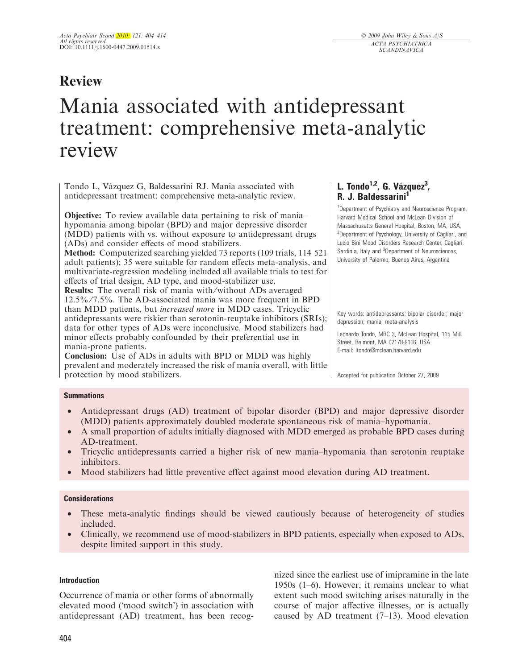# Review

# Mania associated with antidepressant treatment: comprehensive meta-analytic review

Tondo L, Vázquez G, Baldessarini RJ. Mania associated with antidepressant treatment: comprehensive meta-analytic review.

**Objective:** To review available data pertaining to risk of mania– hypomania among bipolar (BPD) and major depressive disorder (MDD) patients with vs. without exposure to antidepressant drugs (ADs) and consider effects of mood stabilizers.

Method: Computerized searching yielded 73 reports (109 trials, 114 521 adult patients); 35 were suitable for random effects meta-analysis, and multivariate-regression modeling included all available trials to test for effects of trial design, AD type, and mood-stabilizer use.

Results: The overall risk of mania with ⁄ without ADs averaged 12.5% ⁄ 7.5%. The AD-associated mania was more frequent in BPD than MDD patients, but increased more in MDD cases. Tricyclic antidepressants were riskier than serotonin-reuptake inhibitors (SRIs); data for other types of ADs were inconclusive. Mood stabilizers had minor effects probably confounded by their preferential use in mania-prone patients.

Conclusion: Use of ADs in adults with BPD or MDD was highly prevalent and moderately increased the risk of mania overall, with little protection by mood stabilizers.

# L. Tondo<sup>1,2</sup>, G. Vázquez<sup>3</sup>, R. J. Baldessarini<sup>1</sup>

<sup>1</sup>Department of Psychiatry and Neuroscience Program, Harvard Medical School and McLean Division of Massachusetts General Hospital, Boston, MA, USA, <sup>2</sup>Department of Psychology, University of Cagliari, and Lucio Bini Mood Disorders Research Center, Cagliari, Sardinia, Italy and <sup>3</sup>Department of Neurosciences, University of Palermo, Buenos Aires, Argentina

Key words: antidepressants; bipolar disorder; major depression; mania; meta-analysis

Leonardo Tondo, MRC 3, McLean Hospital, 115 Mill Street, Belmont, MA 02178-9106, USA. E-mail: ltondo@mclean.harvard.edu

Accepted for publication October 27, 2009

# Summations

- Antidepressant drugs (AD) treatment of bipolar disorder (BPD) and major depressive disorder (MDD) patients approximately doubled moderate spontaneous risk of mania–hypomania.
- A small proportion of adults initially diagnosed with MDD emerged as probable BPD cases during AD-treatment.
- Tricyclic antidepressants carried a higher risk of new mania–hypomania than serotonin reuptake inhibitors.
- Mood stabilizers had little preventive effect against mood elevation during AD treatment.

# **Considerations**

- These meta-analytic findings should be viewed cautiously because of heterogeneity of studies included.
- Clinically, we recommend use of mood-stabilizers in BPD patients, especially when exposed to ADs, despite limited support in this study.

# Introduction

Occurrence of mania or other forms of abnormally elevated mood ('mood switch') in association with antidepressant (AD) treatment, has been recognized since the earliest use of imipramine in the late 1950s (1–6). However, it remains unclear to what extent such mood switching arises naturally in the course of major affective illnesses, or is actually caused by AD treatment  $(7-13)$ . Mood elevation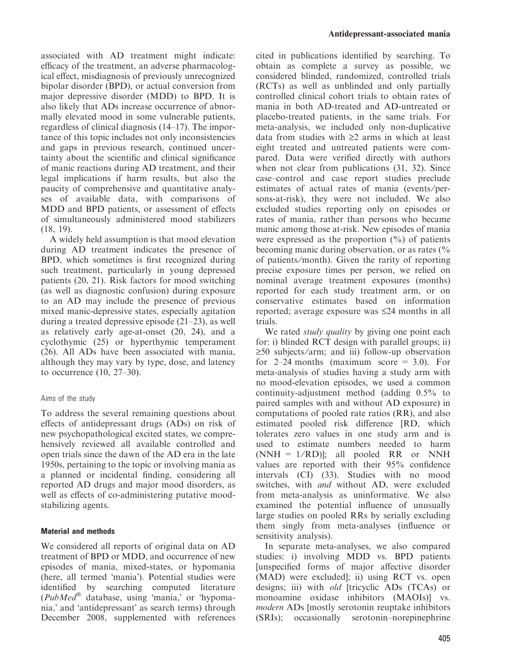associated with AD treatment might indicate: efficacy of the treatment, an adverse pharmacological effect, misdiagnosis of previously unrecognized bipolar disorder (BPD), or actual conversion from major depressive disorder (MDD) to BPD. It is also likely that ADs increase occurrence of abnormally elevated mood in some vulnerable patients, regardless of clinical diagnosis (14–17). The importance of this topic includes not only inconsistencies and gaps in previous research, continued uncertainty about the scientific and clinical significance of manic reactions during AD treatment, and their legal implications if harm results, but also the paucity of comprehensive and quantitative analyses of available data, with comparisons of MDD and BPD patients, or assessment of effects of simultaneously administered mood stabilizers (18, 19).

A widely held assumption is that mood elevation during AD treatment indicates the presence of BPD, which sometimes is first recognized during such treatment, particularly in young depressed patients (20, 21). Risk factors for mood switching (as well as diagnostic confusion) during exposure to an AD may include the presence of previous mixed manic-depressive states, especially agitation during a treated depressive episode (21–23), as well as relatively early age-at-onset (20, 24), and a cyclothymic (25) or hyperthymic temperament (26). All ADs have been associated with mania, although they may vary by type, dose, and latency to occurrence (10, 27–30).

# Aims of the study

To address the several remaining questions about effects of antidepressant drugs (ADs) on risk of new psychopathological excited states, we comprehensively reviewed all available controlled and open trials since the dawn of the AD era in the late 1950s, pertaining to the topic or involving mania as a planned or incidental finding, considering all reported AD drugs and major mood disorders, as well as effects of co-administering putative moodstabilizing agents.

# Material and methods

We considered all reports of original data on AD treatment of BPD or MDD, and occurrence of new episodes of mania, mixed-states, or hypomania (here, all termed 'mania'). Potential studies were identified by searching computed literature  $(PubMed^@)$  database, using 'mania,' or 'hypomania,' and 'antidepressant' as search terms) through December 2008, supplemented with references cited in publications identified by searching. To obtain as complete a survey as possible, we considered blinded, randomized, controlled trials (RCTs) as well as unblinded and only partially controlled clinical cohort trials to obtain rates of mania in both AD-treated and AD-untreated or placebo-treated patients, in the same trials. For meta-analysis, we included only non-duplicative data from studies with  $\geq 2$  arms in which at least eight treated and untreated patients were compared. Data were verified directly with authors when not clear from publications (31, 32). Since case–control and case report studies preclude estimates of actual rates of mania (events/persons-at-risk), they were not included. We also excluded studies reporting only on episodes or rates of mania, rather than persons who became manic among those at-risk. New episodes of mania were expressed as the proportion  $(\frac{0}{0})$  of patients becoming manic during observation, or as rates (% of patients ⁄ month). Given the rarity of reporting precise exposure times per person, we relied on nominal average treatment exposures (months) reported for each study treatment arm, or on conservative estimates based on information reported; average exposure was  $\leq 24$  months in all trials.

We rated *study quality* by giving one point each for: i) blinded RCT design with parallel groups; ii)  $\geq 50$  subjects/arm; and iii) follow-up observation for  $2-24$  months (maximum score = 3.0). For meta-analysis of studies having a study arm with no mood-elevation episodes, we used a common continuity-adjustment method (adding 0.5% to paired samples with and without AD exposure) in computations of pooled rate ratios (RR), and also estimated pooled risk difference [RD, which tolerates zero values in one study arm and is used to estimate numbers needed to harm  $(NNH = 1/RD)$ ; all pooled RR or NNH values are reported with their 95% confidence intervals (CI) (33). Studies with no mood switches, with and without AD, were excluded from meta-analysis as uninformative. We also examined the potential influence of unusually large studies on pooled RRs by serially excluding them singly from meta-analyses (influence or sensitivity analysis).

In separate meta-analyses, we also compared studies: i) involving MDD vs. BPD patients [unspecified forms of major affective disorder (MAD) were excluded]; ii) using RCT vs. open designs; iii) with old [tricyclic ADs (TCAs) or monoamine oxidase inhibitors (MAOIs)] vs. modern ADs [mostly serotonin reuptake inhibitors (SRIs); occasionally serotonin–norepinephrine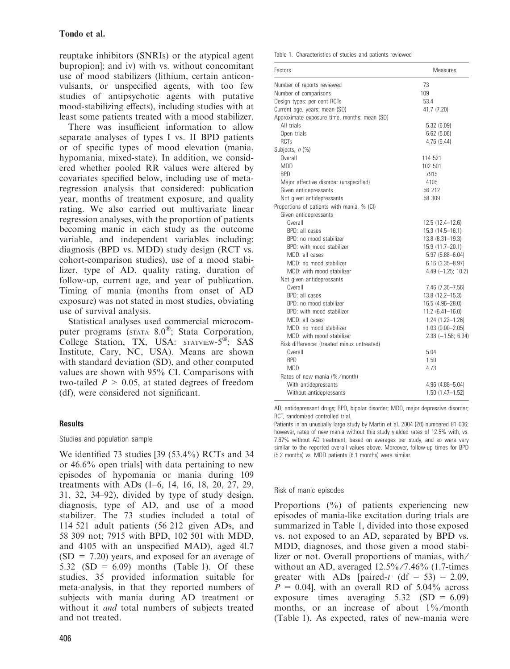reuptake inhibitors (SNRIs) or the atypical agent bupropion]; and iv) with vs. without concomitant use of mood stabilizers (lithium, certain anticonvulsants, or unspecified agents, with too few studies of antipsychotic agents with putative mood-stabilizing effects), including studies with at least some patients treated with a mood stabilizer.

There was insufficient information to allow separate analyses of types I vs. II BPD patients or of specific types of mood elevation (mania, hypomania, mixed-state). In addition, we considered whether pooled RR values were altered by covariates specified below, including use of metaregression analysis that considered: publication year, months of treatment exposure, and quality rating. We also carried out multivariate linear regression analyses, with the proportion of patients becoming manic in each study as the outcome variable, and independent variables including: diagnosis (BPD vs. MDD) study design (RCT vs. cohort-comparison studies), use of a mood stabilizer, type of AD, quality rating, duration of follow-up, current age, and year of publication. Timing of mania (months from onset of AD exposure) was not stated in most studies, obviating use of survival analysis.

Statistical analyses used commercial microcomputer programs ( $STATA 8.0^{\circledR}$ ; Stata Corporation, College Station, TX, USA:  $STATIVEW-5^{\circ\circ}$ ; SAS Institute, Cary, NC, USA). Means are shown with standard deviation (SD), and other computed values are shown with 95% CI. Comparisons with two-tailed  $P > 0.05$ , at stated degrees of freedom (df), were considered not significant.

# **Results**

#### Studies and population sample

We identified 73 studies [39 (53.4%) RCTs and 34 or 46.6% open trials] with data pertaining to new episodes of hypomania or mania during 109 treatments with ADs (1–6, 14, 16, 18, 20, 27, 29, 31, 32, 34–92), divided by type of study design, diagnosis, type of AD, and use of a mood stabilizer. The 73 studies included a total of 114 521 adult patients (56 212 given ADs, and 58 309 not; 7915 with BPD, 102 501 with MDD, and 4105 with an unspecified MAD), aged 4l.7  $(SD = 7.20)$  years, and exposed for an average of 5.32 (SD =  $6.09$ ) months (Table 1). Of these studies, 35 provided information suitable for meta-analysis, in that they reported numbers of subjects with mania during AD treatment or without it *and* total numbers of subjects treated and not treated.

Table 1. Characteristics of studies and patients reviewed

| Factors                                      | Measures               |
|----------------------------------------------|------------------------|
| Number of reports reviewed                   | 73                     |
| Number of comparisons                        | 109                    |
| Design types: per cent RCTs                  | 53.4                   |
| Current age, years: mean (SD)                | 41.7 (7.20)            |
| Approximate exposure time, months: mean (SD) |                        |
| All trials                                   | 5.32(6.09)             |
| Open trials                                  | 6.62(5.06)             |
| <b>RCTs</b>                                  | 4.76(6.44)             |
| Subjects, n (%)                              |                        |
| Overall                                      | 114 521                |
| <b>MDD</b>                                   | 102 501                |
| <b>BPD</b>                                   | 7915                   |
| Major affective disorder (unspecified)       | 4105                   |
| Given antidepressants                        | 56 212                 |
| Not given antidepressants                    | 58 309                 |
| Proportions of patients with mania, % (CI)   |                        |
| Given antidepressants                        |                        |
| Overall                                      | 12.5 (12.4-12.6)       |
| BPD: all cases                               | 15.3 (14.5-16.1)       |
| BPD: no mood stabilizer                      | 13.8 (8.31-19.3)       |
| BPD: with mood stabilizer                    | 15.9 (11.7-20.1)       |
| MDD: all cases                               | $5.97(5.88 - 6.04)$    |
| MDD: no mood stabilizer                      | $6.16(3.35 - 8.97)$    |
| MDD: with mood stabilizer                    | $4.49$ $(-1.25; 10.2)$ |
| Not given antidepressants                    |                        |
| Overall                                      | 7.46 (7.36-7.56)       |
| BPD: all cases                               | 13.8 (12.2-15.3)       |
| BPD: no mood stabilizer                      | 16.5 (4.96-28.0)       |
| BPD: with mood stabilizer                    | $11.2$ (6.41-16.0)     |
| MDD: all cases                               | $1.24$ $(1.22 - 1.26)$ |
| MDD: no mood stabilizer                      | $1.03$ $(0.00 - 2.05)$ |
| MDD: with mood stabilizer                    | $2.38$ (-1.58; 6.34)   |
| Risk difference: (treated minus untreated)   |                        |
| Overall                                      | 5.04                   |
| <b>BPD</b>                                   | 1.50                   |
| <b>MDD</b>                                   | 4.73                   |
| Rates of new mania (%/month)                 |                        |
| With antidepressants                         | 4.96 (4.88-5.04)       |
| Without antidepressants                      | 1.50 (1.47-1.52)       |

AD, antidepressant drugs; BPD, bipolar disorder; MDD, major depressive disorder; RCT, randomized controlled trial.

Patients in an unusually large study by Martin et al. 2004 (20) numbered 81 036; however, rates of new mania without this study yielded rates of 12.5% with, vs. 7.67% without AD treatment, based on averages per study, and so were very similar to the reported overall values above. Moreover, follow-up times for BPD (5.2 months) vs. MDD patients (6.1 months) were similar.

# Risk of manic episodes

Proportions (%) of patients experiencing new episodes of mania-like excitation during trials are summarized in Table 1, divided into those exposed vs. not exposed to an AD, separated by BPD vs. MDD, diagnoses, and those given a mood stabilizer or not. Overall proportions of manias, with/ without an AD, averaged  $12.5\frac{\cancel{6}}{\cancel{7}}$ .46% (1.7-times greater with ADs [paired-t (df =  $53$ ) = 2.09,  $P = 0.04$ , with an overall RD of 5.04% across exposure times averaging 5.32 (SD = 6.09) months, or an increase of about 1%/month (Table 1). As expected, rates of new-mania were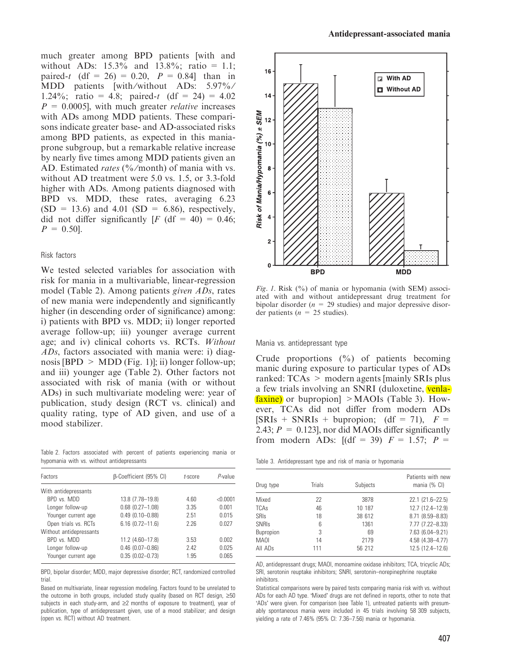much greater among BPD patients [with and without ADs:  $15.3\%$  and  $13.8\%$ ; ratio = 1.1; paired-t  $(df = 26) = 0.20$ ,  $P = 0.84$  than in MDD patients [with/without ADs: 5.97%/ 1.24%; ratio = 4.8; paired-t  $(df = 24) = 4.02$  $P = 0.0005$ , with much greater *relative* increases with ADs among MDD patients. These comparisons indicate greater base- and AD-associated risks among BPD patients, as expected in this maniaprone subgroup, but a remarkable relative increase by nearly five times among MDD patients given an AD. Estimated *rates* (%/month) of mania with vs. without AD treatment were 5.0 vs. 1.5, or 3.3-fold higher with ADs. Among patients diagnosed with BPD vs. MDD, these rates, averaging 6.23  $(SD = 13.6)$  and 4.01  $(SD = 6.86)$ , respectively, did not differ significantly  $[F (df = 40) = 0.46;$  $P = 0.50$ .

#### Risk factors

We tested selected variables for association with risk for mania in a multivariable, linear-regression model (Table 2). Among patients given ADs, rates of new mania were independently and significantly higher (in descending order of significance) among: i) patients with BPD vs. MDD; ii) longer reported average follow-up; iii) younger average current age; and iv) clinical cohorts vs. RCTs. Without ADs, factors associated with mania were: i) diagnosis [BPD  $> \text{MDD (Fig. 1)}$ ]; ii) longer follow-up; and iii) younger age (Table 2). Other factors not associated with risk of mania (with or without ADs) in such multivariate modeling were: year of publication, study design (RCT vs. clinical) and quality rating, type of AD given, and use of a mood stabilizer.

Table 2. Factors associated with percent of patients experiencing mania or hypomania with vs. without antidepressants

| Factors                 | B-Coefficient (95% CI) | t-score | P-value  |
|-------------------------|------------------------|---------|----------|
| With antidepressants    |                        |         |          |
| BPD vs. MDD             | 13.8 (7.78-19.8)       | 4.60    | < 0.0001 |
| Longer follow-up        | $0.68$ $(0.27 - 1.08)$ | 3.35    | 0.001    |
| Younger current age     | $0.49(0.10 - 0.88)$    | 2.51    | 0.015    |
| Open trials vs. RCTs    | $6.16$ $(0.72 - 11.6)$ | 2.26    | 0.027    |
| Without antidepressants |                        |         |          |
| BPD vs. MDD             | 11.2 (4.60-17.8)       | 3.53    | 0.002    |
| Longer follow-up        | $0.46$ $(0.07 - 0.86)$ | 2.42    | 0.025    |
| Younger current age     | $0.35(0.02 - 0.73)$    | 1.95    | 0.065    |

BPD, bipolar disorder; MDD, major depressive disorder; RCT, randomized controlled trial.

Based on multivariate, linear regression modeling. Factors found to be unrelated to the outcome in both groups, included study quality (based on RCT design,  $\geq 50$ subjects in each study-arm, and  $\geq 2$  months of exposure to treatment), year of publication, type of antidepressant given, use of a mood stabilizer; and design (open vs. RCT) without AD treatment.



Fig. 1. Risk  $(\%)$  of mania or hypomania (with SEM) associated with and without antidepressant drug treatment for bipolar disorder ( $n = 29$  studies) and major depressive disorder patients ( $n = 25$  studies).

Mania vs. antidepressant type

Crude proportions  $(\%)$  of patients becoming manic during exposure to particular types of ADs ranked: TCAs > modern agents [mainly SRIs plus a few trials involving an SNRI (duloxetine, venlafaxine) or bupropion] >MAOIs (Table 3). However, TCAs did not differ from modern ADs  $[SRIs + SNRIs + bupropion; (df = 71), F =$ 2.43;  $P = 0.123$ , nor did MAOIs differ significantly from modern ADs:  $[(df = 39)$   $F = 1.57;$   $P =$ 

|  | Table 3. Antidepressant type and risk of mania or hypomania |  |  |  |  |  |  |  |
|--|-------------------------------------------------------------|--|--|--|--|--|--|--|
|--|-------------------------------------------------------------|--|--|--|--|--|--|--|

| Drug type           | Trials | Subjects | Patients with new<br>mania (% CI) |
|---------------------|--------|----------|-----------------------------------|
| Mixed               | 22     | 3878     | 22.1 (21.6-22.5)                  |
| <b>TCAs</b>         | 46     | 10 187   | 12.7 (12.4-12.9)                  |
| <b>SRIs</b>         | 18     | 38 612   | $8.71(8.59 - 8.83)$               |
| <b>SNRIs</b>        | 6      | 1361     | 7.77 (7.22-8.33)                  |
| Bupropion           | 3      | 69       | 7.63 (6.04-9.21)                  |
| <b>MAOI</b>         | 14     | 2179     | 4.58 (4.38-4.77)                  |
| All AD <sub>s</sub> | 111    | 56 212   | 12.5 (12.4-12.6)                  |

AD, antidepressant drugs; MAOI, monoamine oxidase inhibitors; TCA, tricyclic ADs; SRI, serotonin reuptake inhibitors; SNRI, serotonin–norepinephrine reuptake inhibitors.

Statistical comparisons were by paired tests comparing mania risk with vs. without ADs for each AD type. 'Mixed' drugs are not defined in reports, other to note that -ADs were given. For comparison (see Table 1), untreated patients with presumably spontaneous mania were included in 45 trials involving 58 309 subjects, yielding a rate of 7.46% (95% CI: 7.36–7.56) mania or hypomania.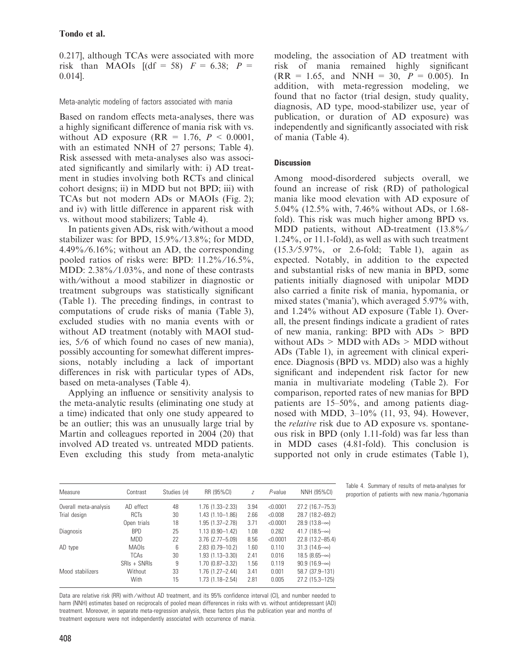0.217], although TCAs were associated with more risk than MAOIs  $[(df = 58)$   $F = 6.38$ ;  $P =$ 0.014].

Meta-analytic modeling of factors associated with mania

Based on random effects meta-analyses, there was a highly significant difference of mania risk with vs. without AD exposure  $(RR = 1.76, P < 0.0001,$ with an estimated NNH of 27 persons; Table 4). Risk assessed with meta-analyses also was associated significantly and similarly with: i) AD treatment in studies involving both RCTs and clinical cohort designs; ii) in MDD but not BPD; iii) with TCAs but not modern ADs or MAOIs (Fig. 2); and iv) with little difference in apparent risk with vs. without mood stabilizers; Table 4).

In patients given ADs, risk with ⁄without a mood stabilizer was: for BPD, 15.9% ⁄ 13.8%; for MDD,  $4.49\%/6.16\%$ ; without an AD, the corresponding pooled ratios of risks were: BPD: 11.2% ⁄ 16.5%, MDD: 2.38%/1.03%, and none of these contrasts with/without a mood stabilizer in diagnostic or treatment subgroups was statistically significant (Table 1). The preceding findings, in contrast to computations of crude risks of mania (Table 3), excluded studies with no mania events with or without AD treatment (notably with MAOI studies,  $5/6$  of which found no cases of new mania), possibly accounting for somewhat different impressions, notably including a lack of important differences in risk with particular types of ADs, based on meta-analyses (Table 4).

Applying an influence or sensitivity analysis to the meta-analytic results (eliminating one study at a time) indicated that only one study appeared to be an outlier; this was an unusually large trial by Martin and colleagues reported in 2004 (20) that involved AD treated vs. untreated MDD patients. Even excluding this study from meta-analytic modeling, the association of AD treatment with risk of mania remained highly significant  $(RR = 1.65, and NNH = 30, P = 0.005).$  In addition, with meta-regression modeling, we found that no factor (trial design, study quality, diagnosis, AD type, mood-stabilizer use, year of publication, or duration of AD exposure) was independently and significantly associated with risk of mania (Table 4).

# **Discussion**

Among mood-disordered subjects overall, we found an increase of risk (RD) of pathological mania like mood elevation with AD exposure of 5.04% (12.5% with, 7.46% without ADs, or 1.68 fold). This risk was much higher among BPD vs. MDD patients, without AD-treatment (13.8%/ 1.24%, or 11.1-fold), as well as with such treatment (15.3 ⁄ 5.97%, or 2.6-fold; Table 1), again as expected. Notably, in addition to the expected and substantial risks of new mania in BPD, some patients initially diagnosed with unipolar MDD also carried a finite risk of mania, hypomania, or mixed states ('mania'), which averaged 5.97% with, and 1.24% without AD exposure (Table 1). Overall, the present findings indicate a gradient of rates of new mania, ranking: BPD with ADs > BPD without  $ADS > MDD$  with  $ADS > MDD$  without ADs (Table 1), in agreement with clinical experience. Diagnosis (BPD vs. MDD) also was a highly significant and independent risk factor for new mania in multivariate modeling (Table 2). For comparison, reported rates of new manias for BPD patients are 15–50%, and among patients diagnosed with MDD, 3–10% (11, 93, 94). However, the relative risk due to AD exposure vs. spontaneous risk in BPD (only 1.11-fold) was far less than in MDD cases (4.81-fold). This conclusion is supported not only in crude estimates (Table 1),

| Measure               | Contrast     | Studies (n) | RR (95%CI)             | Z    | $P$ -value | NNH (95%CI)          |
|-----------------------|--------------|-------------|------------------------|------|------------|----------------------|
| Overall meta-analysis | AD effect    | 48          | $1.76$ $(1.33 - 2.33)$ | 3.94 | < 0.0001   | 27.2 (16.7-75.3)     |
| Trial design          | <b>RCTs</b>  | 30          | $1.43(1.10 - 1.86)$    | 2.66 | < 0.008    | 28.7 (18.2-69.2)     |
|                       | Open trials  | 18          | $1.95(1.37 - 2.78)$    | 3.71 | < 0.0001   | $28.9(13.8-\infty)$  |
| <b>Diagnosis</b>      | <b>BPD</b>   | 25          | $1.13(0.90 - 1.42)$    | 1.08 | 0.282      | 41.7 $(18.5-\infty)$ |
|                       | MDD          | 22          | $3.76$ $(2.77 - 5.09)$ | 8.56 | < 0.0001   | 22.8 (13.2-85.4)     |
| AD type               | <b>MAOIs</b> | 6           | 2.83 (0.79-10.2)       | 1.60 | 0.110      | $31.3(14.6-\infty)$  |
|                       | <b>TCAs</b>  | 30          | $1.93(1.13 - 3.30)$    | 2.41 | 0.016      | $18.5(8.65-\infty)$  |
|                       | $SHs + SNR$  | 9           | 1.70 (0.87-3.32)       | 1.56 | 0.119      | $90.9(16.9-\infty)$  |
| Mood stabilizers      | Without      | 33          | $1.76(1.27 - 2.44)$    | 3.41 | 0.001      | 58.7 (37.9-131)      |
|                       | With         | 15          | $1.73(1.18 - 2.54)$    | 2.81 | 0.005      | 27.2 (15.3-125)      |

Table 4. Summary of results of meta-analyses for proportion of patients with new mania ⁄ hypomania

Data are relative risk (RR) with / without AD treatment, and its 95% confidence interval (CI), and number needed to harm (NNH) estimates based on reciprocals of pooled mean differences in risks with vs. without antidepressant (AD) treatment. Moreover, in separate meta-regression analysis, these factors plus the publication year and months of treatment exposure were not independently associated with occurrence of mania.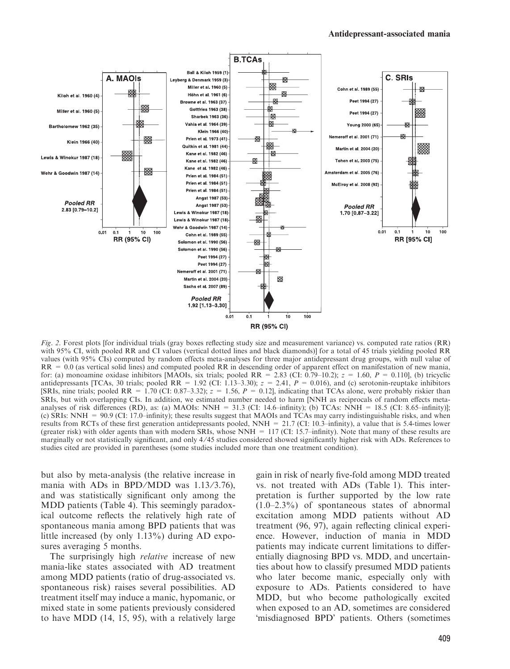

Fig. 2. Forest plots [for individual trials (gray boxes reflecting study size and measurement variance) vs. computed rate ratios (RR) with 95% CI, with pooled RR and CI values (vertical dotted lines and black diamonds)] for a total of 45 trials yielding pooled RR values (with 95% CIs) computed by random effects meta-analyses for three major antidepressant drug groups, with null value of RR = 0.0 (as vertical solid lines) and computed pooled RR in descending order of apparent effect on manifestation of new mania, for: (a) monoamine oxidase inhibitors [MAOIs, six trials; pooled RR = 2.83 (CI: 0.79–10.2);  $z = 1.60$ ,  $P = 0.110$ ], (b) tricyclic antidepressants [TCAs, 30 trials; pooled RR = 1.92 (CI: 1.13–3.30);  $z = 2.41$ ,  $P = 0.016$ ), and (c) serotonin-reuptake inhibitors [SRIs, nine trials; pooled RR = 1.70 (CI: 0.87–3.32);  $z = 1.56$ ,  $P = 0.12$ ], indicating that TCAs alone, were probably riskier than SRIs, but with overlapping CIs. In addition, we estimated number needed to harm [NNH as reciprocals of random effects metaanalyses of risk differences (RD), as: (a) MAOIs: NNH =  $31.3$  (CI: 14.6–infinity); (b) TCAs: NNH =  $18.5$  (CI:  $8.65$ –infinity)]; (c) SRIs: NNH = 90.9 (CI: 17.0–infinity); these results suggest that MAOIs and TCAs may carry indistinguishable risks, and when results from RCTs of these first generation antidepressants pooled, NNH = 21.7 (CI: 10.3–infinity), a value that is 5.4-times lower (greater risk) with older agents than with modern SRIs, whose NNH = 117 (CI: 15.7–infinity). Note that many of these results are marginally or not statistically significant, and only 4/45 studies considered showed significantly higher risk with ADs. References to studies cited are provided in parentheses (some studies included more than one treatment condition).

but also by meta-analysis (the relative increase in mania with ADs in BPD/MDD was  $1.13/3.76$ ), and was statistically significant only among the MDD patients (Table 4). This seemingly paradoxical outcome reflects the relatively high rate of spontaneous mania among BPD patients that was little increased (by only 1.13%) during AD exposures averaging 5 months.

The surprisingly high *relative* increase of new mania-like states associated with AD treatment among MDD patients (ratio of drug-associated vs. spontaneous risk) raises several possibilities. AD treatment itself may induce a manic, hypomanic, or mixed state in some patients previously considered to have MDD (14, 15, 95), with a relatively large

gain in risk of nearly five-fold among MDD treated vs. not treated with ADs (Table 1). This interpretation is further supported by the low rate (1.0–2.3%) of spontaneous states of abnormal excitation among MDD patients without AD treatment (96, 97), again reflecting clinical experience. However, induction of mania in MDD patients may indicate current limitations to differentially diagnosing BPD vs. MDD, and uncertainties about how to classify presumed MDD patients who later become manic, especially only with exposure to ADs. Patients considered to have MDD, but who become pathologically excited when exposed to an AD, sometimes are considered 'misdiagnosed BPD' patients. Others (sometimes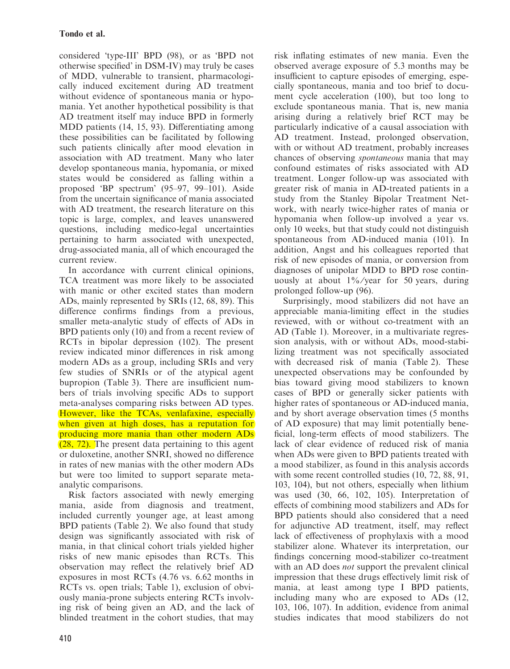considered 'type-III' BPD (98), or as 'BPD not otherwise specified' in DSM-IV) may truly be cases of MDD, vulnerable to transient, pharmacologically induced excitement during AD treatment without evidence of spontaneous mania or hypomania. Yet another hypothetical possibility is that AD treatment itself may induce BPD in formerly MDD patients (14, 15, 93). Differentiating among these possibilities can be facilitated by following such patients clinically after mood elevation in association with AD treatment. Many who later develop spontaneous mania, hypomania, or mixed states would be considered as falling within a proposed 'BP spectrum' (95–97, 99–101). Aside from the uncertain significance of mania associated with AD treatment, the research literature on this topic is large, complex, and leaves unanswered questions, including medico-legal uncertainties pertaining to harm associated with unexpected, drug-associated mania, all of which encouraged the current review.

In accordance with current clinical opinions, TCA treatment was more likely to be associated with manic or other excited states than modern ADs, mainly represented by SRIs (12, 68, 89). This difference confirms findings from a previous, smaller meta-analytic study of effects of ADs in BPD patients only (10) and from a recent review of RCTs in bipolar depression (102). The present review indicated minor differences in risk among modern ADs as a group, including SRIs and very few studies of SNRIs or of the atypical agent bupropion (Table 3). There are insufficient numbers of trials involving specific ADs to support meta-analyses comparing risks between AD types. However, like the TCAs, venlafaxine, especially when given at high doses, has a reputation for producing more mania than other modern ADs (28, 72). The present data pertaining to this agent or duloxetine, another SNRI, showed no difference in rates of new manias with the other modern ADs but were too limited to support separate metaanalytic comparisons.

Risk factors associated with newly emerging mania, aside from diagnosis and treatment, included currently younger age, at least among BPD patients (Table 2). We also found that study design was significantly associated with risk of mania, in that clinical cohort trials yielded higher risks of new manic episodes than RCTs. This observation may reflect the relatively brief AD exposures in most RCTs (4.76 vs. 6.62 months in RCTs vs. open trials; Table 1), exclusion of obviously mania-prone subjects entering RCTs involving risk of being given an AD, and the lack of blinded treatment in the cohort studies, that may risk inflating estimates of new mania. Even the observed average exposure of 5.3 months may be insufficient to capture episodes of emerging, especially spontaneous, mania and too brief to document cycle acceleration (100), but too long to exclude spontaneous mania. That is, new mania arising during a relatively brief RCT may be particularly indicative of a causal association with AD treatment. Instead, prolonged observation, with or without AD treatment, probably increases chances of observing spontaneous mania that may confound estimates of risks associated with AD treatment. Longer follow-up was associated with greater risk of mania in AD-treated patients in a study from the Stanley Bipolar Treatment Network, with nearly twice-higher rates of mania or hypomania when follow-up involved a year vs. only 10 weeks, but that study could not distinguish spontaneous from AD-induced mania (101). In addition, Angst and his colleagues reported that risk of new episodes of mania, or conversion from diagnoses of unipolar MDD to BPD rose continuously at about  $1\frac{9}{6}$ /year for 50 years, during prolonged follow-up (96).

Surprisingly, mood stabilizers did not have an appreciable mania-limiting effect in the studies reviewed, with or without co-treatment with an AD (Table 1). Moreover, in a multivariate regression analysis, with or without ADs, mood-stabilizing treatment was not specifically associated with decreased risk of mania (Table 2). These unexpected observations may be confounded by bias toward giving mood stabilizers to known cases of BPD or generally sicker patients with higher rates of spontaneous or AD-induced mania, and by short average observation times (5 months of AD exposure) that may limit potentially beneficial, long-term effects of mood stabilizers. The lack of clear evidence of reduced risk of mania when ADs were given to BPD patients treated with a mood stabilizer, as found in this analysis accords with some recent controlled studies (10, 72, 88, 91, 103, 104), but not others, especially when lithium was used (30, 66, 102, 105). Interpretation of effects of combining mood stabilizers and ADs for BPD patients should also considered that a need for adjunctive AD treatment, itself, may reflect lack of effectiveness of prophylaxis with a mood stabilizer alone. Whatever its interpretation, our findings concerning mood-stabilizer co-treatment with an AD does *not* support the prevalent clinical impression that these drugs effectively limit risk of mania, at least among type I BPD patients, including many who are exposed to ADs (12, 103, 106, 107). In addition, evidence from animal studies indicates that mood stabilizers do not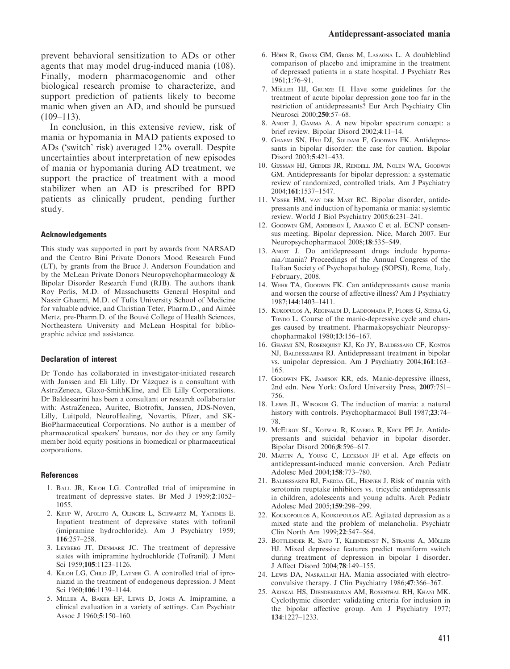In conclusion, in this extensive review, risk of mania or hypomania in MAD patients exposed to ADs ('switch' risk) averaged 12% overall. Despite uncertainties about interpretation of new episodes of mania or hypomania during AD treatment, we support the practice of treatment with a mood stabilizer when an AD is prescribed for BPD patients as clinically prudent, pending further study.

#### Acknowledgements

This study was supported in part by awards from NARSAD and the Centro Bini Private Donors Mood Research Fund (LT), by grants from the Bruce J. Anderson Foundation and by the McLean Private Donors Neuropsychopharmacology & Bipolar Disorder Research Fund (RJB). The authors thank Roy Perlis, M.D. of Massachusetts General Hospital and Nassir Ghaemi, M.D. of Tufts University School of Medicine for valuable advice, and Christian Teter, Pharm.D., and Aimée Mertz, pre-Pharm.D. of the Bouvé College of Health Sciences, Northeastern University and McLean Hospital for bibliographic advice and assistance.

#### Declaration of interest

Dr Tondo has collaborated in investigator-initiated research with Janssen and Eli Lilly. Dr Vázquez is a consultant with AstraZeneca, Glaxo-SmithKline, and Eli Lilly Corporations. Dr Baldessarini has been a consultant or research collaborator with: AstraZeneca, Auritec, Biotrofix, Janssen, JDS-Noven, Lilly, Luitpold, NeuroHealing, Novartis, Pfizer, and SK-BioPharmaceutical Corporations. No author is a member of pharmaceutical speakers' bureaus, nor do they or any family member hold equity positions in biomedical or pharmaceutical corporations.

#### References

- 1. Ball JR, Kiloh LG. Controlled trial of imipramine in treatment of depressive states. Br Med J 1959;2:1052– 1055.
- 2. Keup W, Apolito A, Olinger L, Schwartz M, Yachnes E. Inpatient treatment of depressive states with tofranil (imipramine hydrochloride). Am J Psychiatry 1959; 116:257–258.
- 3. Leyberg JT, Denmark JC. The treatment of depressive states with imipramine hydrochloride (Tofranil). J Ment Sci 1959;105:1123–1126.
- 4. Kiloh LG, Child JP, Latner G. A controlled trial of iproniazid in the treatment of endogenous depression. J Ment Sci 1960;106:1139–1144.
- 5. Miller A, Baker EF, Lewis D, Jones A. Imipramine, a clinical evaluation in a variety of settings. Can Psychiatr Assoc J 1960;5:150–160.
- 6. Höhn R, Gross GM, Gross M, LASAGNA L. A doubleblind comparison of placebo and imipramine in the treatment of depressed patients in a state hospital. J Psychiatr Res 1961;1:76–91.
- 7. MÖLLER HJ, GRUNZE H. Have some guidelines for the treatment of acute bipolar depression gone too far in the restriction of antidepressants? Eur Arch Psychiatry Clin Neurosci 2000;250:57–68.
- 8. Angst J, Gamma A. A new bipolar spectrum concept: a brief review. Bipolar Disord 2002;4:11–14.
- 9. GHAEMI SN, Hsu DJ, SOLDANI F, GOODWIN FK. Antidepressants in bipolar disorder: the case for caution. Bipolar Disord 2003;5:421–433.
- 10. Gijsman HJ, Geddes JR, Rendell JM, Nolen WA, Goodwin GM. Antidepressants for bipolar depression: a systematic review of randomized, controlled trials. Am J Psychiatry 2004;161:1537–1547.
- 11. Visser HM, van der Mast RC. Bipolar disorder, antidepressants and induction of hypomania or mania: systemtic review. World J Biol Psychiatry 2005;6:231–241.
- 12. Goodwin GM, Anderson I, Arango C et al. ECNP consensus meeting. Bipolar depression. Nice, March 2007. Eur Neuropsychopharmacol 2008;18:535–549.
- 13. Angst J. Do antidepressant drugs include hypomania ⁄ mania? Proceedings of the Annual Congress of the Italian Society of Psychopathology (SOPSI), Rome, Italy, February, 2008.
- 14. Wehr TA, Goodwin FK. Can antidepressants cause mania and worsen the course of affective illness? Am J Psychiatry 1987;144:1403–1411.
- 15. Kukopulos A, Reginaldi D, Laddomada P, Floris G, Serra G, Tonpo L. Course of the manic-depressive cycle and changes caused by treatment. Pharmakopsychiatr Neuropsychopharmakol 1980;13:156–167.
- 16. Ghaemi SN, Rosenquist KJ, Ko JY, Baldessano CF, Kontos NJ, Baldesssarini RJ. Antidepressant treatment in bipolar vs. unipolar depression. Am J Psychiatry 2004;161:163– 165.
- 17. Goodwin FK, Jamison KR, eds. Manic-depressive illness, 2nd edn. New York: Oxford University Press, 2007:751– 756.
- 18. Lewis JL, Winokur G. The induction of mania: a natural history with controls. Psychopharmacol Bull 1987;23:74– 78.
- 19. McElroy SL, Kotwal R, Kaneria R, Keck PE Jr. Antidepressants and suicidal behavior in bipolar disorder. Bipolar Disord 2006;8:596–617.
- 20. Martin A, Young C, Leckman JF et al. Age effects on antidepressant-induced manic conversion. Arch Pediatr Adolesc Med 2004;158:773–780.
- 21. Baldessarini RJ, Faedda GL, Hennen J. Risk of mania with serotonin reuptake inhibitors vs. tricyclic antidepressants in children, adolescents and young adults. Arch Pediatr Adolesc Med 2005;159:298–299.
- 22. Koukopoulos A, Koukopoulos AE. Agitated depression as a mixed state and the problem of melancholia. Psychiatr Clin North Am 1999;22:547–564.
- 23. BOTTLENDER R, SATO T, KLEINDIENST N, STRAUSS A, MÖLLER HJ. Mixed depressive features predict maniform switch during treatment of depression in bipolar I disorder. J Affect Disord 2004;78:149–155.
- 24. Lewis DA, Nasrallah HA. Mania associated with electroconvulsive therapy. J Clin Psychiatry 1986;47:366–367.
- 25. Akiskal HS, Djenderedjian AM, Rosenthal RH, Khani MK. Cyclothymic disorder: validating criteria for inclusion in the bipolar affective group. Am J Psychiatry 1977; 134:1227–1233.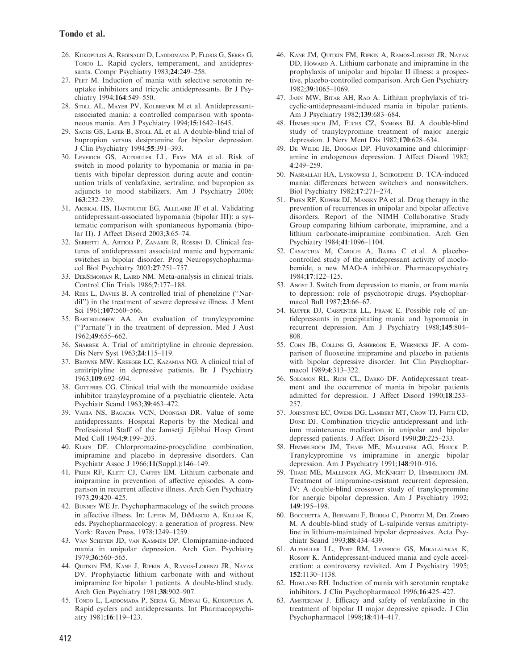- 26. Kukopulos A, Reginaldi D, Laddomada P, Floris G, Serra G, TONDO L. Rapid cyclers, temperament, and antidepressants. Compr Psychiatry 1983;24:249–258.
- 27. Peet M. Induction of mania with selective serotonin reuptake inhibitors and tricyclic antidepressants. Br J Psychiatry 1994;164:549–550.
- 28. Stoll AL, Mayer PV, Kolbrener M et al. Antidepressantassociated mania: a controlled comparison with spontaneous mania. Am J Psychiatry 1994;15:1642–1645.
- 29. SACHS GS, LAFER B, STOLL AL et al. A double-blind trial of bupropion versus desipramine for bipolar depression. J Clin Psychiatry 1994;55:391–393.
- 30. Leverich GS, Altshuler LL, Frye MA et al. Risk of switch in mood polarity to hypomania or mania in patients with bipolar depression during acute and continuation trials of venlafaxine, sertraline, and bupropion as adjuncts to mood stabilizers. Am J Psychiatry 2006; 163:232–239.
- 31. Akiskal HS, Hantouche EG, Allilaire JF et al. Validating antidepressant-associated hypomania (bipolar III): a systematic comparison with spontaneous hypomania (bipolar II). J Affect Disord 2003;3:65–74.
- 32. Serretti A, Artioli P, Zanardi R, Rossini D. Clinical features of antidepressant associated manic and hypomanic switches in bipolar disorder. Prog Neuropsychopharmacol Biol Psychiatry 2003;27:751–757.
- 33. DERSIMONIAN R, LAIRD NM. Meta-analysis in clinical trials. Control Clin Trials 1986;7:177–188.
- 34. Rees L, Davies B. A controlled trial of phenelzine (''Nardil'') in the treatment of severe depressive illness. J Ment Sci 1961;107:560–566.
- 35. Bartholomew AA. An evaluation of tranylcypromine (''Parnate'') in the treatment of depression. Med J Aust 1962;49:655–662.
- 36. SHARBEK A. Trial of amitriptyline in chronic depression. Dis Nerv Syst 1963;24:115–119.
- 37. Browne MW, Kreeger LC, Kazamias NG. A clinical trial of amitriptyline in depressive patients. Br J Psychiatry 1963;109:692–694.
- 38. GOTTFRIES CG. Clinical trial with the monoamido oxidase inhibitor tranylcypromine of a psychiatric clientele. Acta Psychiatr Scand 1963;39:463–472.
- 39. Vahia NS, Bagadia VCN, Doongaji DR. Value of some antidepressants. Hospital Reports by the Medical and Professional Staff of the Jamsetji Jijibhai Hosp Grant Med Coll 1964;9:199–203.
- 40. KLEIN DF. Chlorpromazine-procyclidine combination, imipramine and placebo in depressive disorders. Can Psychiatr Assoc J 1966;11(Suppl.):146–149.
- 41. PRIEN RF, KLETT CJ, CAFFEY EM. Lithium carbonate and imipramine in prevention of affective episodes. A comparison in recurrent affective illness. Arch Gen Psychiatry 1973;29:420–425.
- 42. Bunney WE Jr. Psychopharmacology of the switch process in affective illness. In: LIPTON M, DIMASCIO A, KILLAM K, eds. Psychopharmacology: a generation of progress. New York: Raven Press, 1978:1249–1259.
- 43. Van Scheyen JD, van Kammen DP. Clomipramine-induced mania in unipolar depression. Arch Gen Psychiatry 1979;36:560–565.
- 44. Quitkin FM, Kane J, Rifkin A, Ramos-Lorenzi JR, Nayak DV. Prophylactic lithium carbonate with and without imipramine for bipolar 1 patients. A double-blind study. Arch Gen Psychiatry 1981;38:902–907.
- 45. Tondo L, Laddomada P, Serra G, Minnai G, Kukopulos A. Rapid cyclers and antidepressants. Int Pharmacopsychiatry 1981;16:119–123.
- 46. Kane JM, Quitkin FM, Rifkin A, Ramos-Lorenzi JR, Nayak DD, Howard A. Lithium carbonate and imipramine in the prophylaxis of unipolar and bipolar II illness: a prospective, placebo-controlled comparison. Arch Gen Psychiatry 1982;39:1065–1069.
- 47. Jann MW, Bitar AH, Rao A. Lithium prophylaxis of tricyclic-antidepressant-induced mania in bipolar patients. Am J Psychiatry 1982;139:683–684.
- 48. Himmelhoch JM, Fuchs CZ, Symons BJ. A double-blind study of tranylcypromine treatment of major anergic depression. J Nerv Ment Dis 1982;170:628–634.
- 49. De Wilde JE, Doogan DP. Fluvoxamine and chlorimipramine in endogenous depression. J Affect Disord 1982; 4:249–259.
- 50. Nasrallah HA, Lyskowski J, Schroedere D. TCA-induced mania: differences between switchers and nonswitchers. Biol Psychiatry 1982;17:271–274.
- 51. Prien RF, Kupfer DJ, Mansky PA et al. Drug therapy in the prevention of recurrences in unipolar and bipolar affective disorders. Report of the NIMH Collaborative Study Group comparing lithium carbonate, imipramine, and a lithium carbonate-imipramine combination. Arch Gen Psychiatry 1984;41:1096–1104.
- 52. Casacchia M, Carolei A, Barba C et al. A placebocontrolled study of the antidepressant activity of moclobemide, a new MAO-A inhibitor. Pharmacopsychiatry 1984;17:122–125.
- 53. Angst J. Switch from depression to mania, or from mania to depression: role of psychotropic drugs. Psychopharmacol Bull 1987;23:66–67.
- 54. Kupfer DJ, Carpenter LL, Frank E. Possible role of antidepressants in precipitating mania and hypomania in recurrent depression. Am J Psychiatry 1988;145:804– 808.
- 55. Cohn JB, Collins G, Ashbrook E, Wernicke JF. A comparison of fluoxetine imipramine and placebo in patients with bipolar depressive disorder. Int Clin Psychopharmacol 1989;4:313–322.
- 56. Solomon RL, Rich CL, Darko DF. Antidepressant treatment and the occurrence of mania in bipolar patients admitted for depression. J Affect Disord 1990;18:253– 257.
- 57. Johnstone EC, Owens DG, Lambert MT, Crow TJ, Frith CD, Done DJ. Combination tricyclic antidepressant and lithium maintenance medication in unipolar and bipolar depressed patients. J Affect Disord 1990;20:225–233.
- 58. Himmelhoch JM, Thase ME, Mallinger AG, Houck P. Tranylcypromine vs imipramine in anergic bipolar depression. Am J Psychiatry 1991;148:910–916.
- 59. Thase ME, Mallinger AG, McKnight D, Himmelhoch JM. Treatment of imipramine-resistant recurrent depression, IV: A double-blind crossover study of tranylcypromine for anergic bipolar depression. Am J Psychiatry 1992; 149:195–198.
- 60. Bocchetta A, Bernardi F, Burrai C, Pedditzi M, Del Zompo M. A double-blind study of L-sulpiride versus amitriptyline in lithium-maintained bipolar depressives. Acta Psychiatr Scand 1993;88:434–439.
- 61. Altshuler LL, Post RM, Leverich GS, Mikalauskas K, Rosoff K. Antidepressant-induced mania and cycle acceleration: a controversy revisited. Am J Psychiatry 1995; 152:1130–1138.
- 62. HowLAND RH. Induction of mania with serotonin reuptake inhibitors. J Clin Psychopharmacol 1996;16:425–427.
- 63. Amsterdam J. Efficacy and safety of venlafaxine in the treatment of bipolar II major depressive episode. J Clin Psychopharmacol 1998;18:414–417.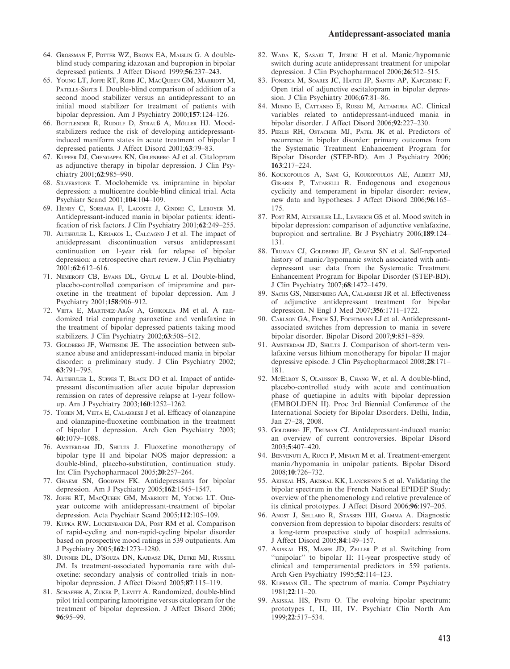- 64. Grossman F, Potter WZ, Brown EA, Maislin G. A doubleblind study comparing idazoxan and bupropion in bipolar depressed patients. J Affect Disord 1999;56:237–243.
- 65. Young LT, Joffe RT, Robb JC, MacQueen GM, Marriott M, PATELLS-SIOTIS I. Double-blind comparison of addition of a second mood stabilizer versus an antidepressant to an initial mood stabilizer for treatment of patients with bipolar depression. Am J Psychiatry 2000;157:124–126.
- 66. BOTTLENDER R, RUDOLF D, STRAUß A, MÖLLER HJ. Moodstabilizers reduce the risk of developing antidepressantinduced maniform states in acute treatment of bipolar I depressed patients. J Affect Disord 2001;63:79–83.
- 67. Kupfer DJ, Chengappa KN, Gelenberg AJ et al. Citalopram as adjunctive therapy in bipolar depression. J Clin Psychiatry 2001;62:985–990.
- 68. Silverstone T. Moclobemide vs. imipramine in bipolar depression: a multicentre double-blind clinical trial. Acta Psychiatr Scand 2001;104:104–109.
- 69. Henry C, Sorbara F, Lacoste J, Gindre C, Leboyer M. Antidepressant-induced mania in bipolar patients: identification of risk factors. J Clin Psychiatry 2001;62:249–255.
- 70. Altshuler L, Kiriakos L, Calcagno J et al. The impact of antidepressant discontinuation versus antidepressant continuation on 1-year risk for relapse of bipolar depression: a retrospective chart review. J Clin Psychiatry 2001;62:612–616.
- 71. Nemeroff CB, Evans DL, Gyulai L et al. Double-blind, placebo-controlled comparison of imipramine and paroxetine in the treatment of bipolar depression. Am J Psychiatry 2001;158:906–912.
- 72. VIETA E, MARTINEZ-ARÁN A, GOIKOLEA JM et al. A randomized trial comparing paroxetine and venlafaxine in the treatment of bipolar depressed patients taking mood stabilizers. J Clin Psychiatry 2002;63:508–512.
- 73. GOLDBERG JF, WHITESIDE JE. The association between substance abuse and antidepressant-induced mania in bipolar disorder: a preliminary study. J Clin Psychiatry 2002; 63:791–795.
- 74. Altshuler L, Suppes T, Black DO et al. Impact of antidepressant discontinuation after acute bipolar depression remission on rates of depressive relapse at 1-year followup. Am J Psychiatry 2003;160:1252–1262.
- 75. Tohen M, Vieta E, Calabrese J et al. Efficacy of olanzapine and olanzapine-fluoxetine combination in the treatment of bipolar I depression. Arch Gen Psychiatry 2003; 60:1079–1088.
- 76. Amsterdam JD, Shults J. Fluoxetine monotherapy of bipolar type II and bipolar NOS major depression: a double-blind, placebo-substitution, continuation study. Int Clin Psychopharmacol 2005;20:257–264.
- 77. Ghaemi SN, Goodwin FK. Antidepressants for bipolar depression. Am J Psychiatry 2005;162:1545–1547.
- 78. Joffe RT, MacQueen GM, Marriott M, Young LT. Oneyear outcome with antidepressant-treatment of bipolar depression. Acta Psychiatr Scand 2005;112:105–109.
- 79. Kupka RW, Luckenbaugh DA, Post RM et al. Comparison of rapid-cycling and non-rapid-cycling bipolar disorder based on prospective mood ratings in 539 outpatients. Am J Psychiatry 2005;162:1273–1280.
- 80. DUNNER DL, D'SOUZA DN, KAJDASZ DK, DETKE MJ, RUSSELL JM. Is treatment-associated hypomania rare with duloxetine: secondary analysis of controlled trials in nonbipolar depression. J Affect Disord 2005;87:115–119.
- 81. SCHAFFER A, ZUKER P, LEVITT A. Randomized, double-blind pilot trial comparing lamotrigine versus citalopram for the treatment of bipolar depression. J Affect Disord 2006; 96:95–99.
- 82. WADA K, SASAKI T, JITSUKI H et al. Manic/hypomanic switch during acute antidepressant treatment for unipolar depression. J Clin Psychopharmacol 2006;26:512–515.
- 83. Fonseca M, Soares JC, Hatch JP, Santin AP, Kapczinski F. Open trial of adjunctive escitalopram in bipolar depression. J Clin Psychiatry 2006;67:81–86.
- 84. Mundo E, Cattaneo E, Russo M, Altamura AC. Clinical variables related to antidepressant-induced mania in bipolar disorder. J Affect Disord 2006;92:227–230.
- 85. Perlis RH, Ostacher MJ, Patel JK et al. Predictors of recurrence in bipolar disorder: primary outcomes from the Systematic Treatment Enhancement Program for Bipolar Disorder (STEP-BD). Am J Psychiatry 2006; 163:217–224.
- 86. Koukopoulos A, Sani G, Koukopoulos AE, Albert MJ, Girardi P, Tatarelli R. Endogenous and exogenous cyclicity and temperament in bipolar disorder: review, new data and hypotheses. J Affect Disord 2006;96:165– 175.
- 87. Post RM, Altshuler LL, Leverich GS et al. Mood switch in bipolar depression: comparison of adjunctive venlafaxine, bupropion and sertraline. Br J Psychiatry 2006;189:124– 131.
- 88. Truman CJ, Goldberg JF, Ghaemi SN et al. Self-reported history of manic/hypomanic switch associated with antidepressant use: data from the Systematic Treatment Enhancement Program for Bipolar Disorder (STEP-BD). J Clin Psychiatry 2007;68:1472–1479.
- 89. Sachs GS, Nierenberg AA, Calabrese JR et al. Effectiveness of adjunctive antidepressant treatment for bipolar depression. N Engl J Med 2007;356:1711–1722.
- 90. CARLSON GA, FINCH SJ, FOCHTMANN LJ et al. Antidepressantassociated switches from depression to mania in severe bipolar disorder. Bipolar Disord 2007;9:851–859.
- 91. AMSTERDAM JD, SHULTS J. Comparison of short-term venlafaxine versus lithium monotherapy for bipolar II major depressive episode. J Clin Psychopharmacol 2008;28:171– 181.
- 92. McElroy S, Olausson B, Chang W, et al. A double-blind, placebo-controlled study with acute and continuation phase of quetiapine in adults with bipolar depression (EMBOLDEN II). Proc 3rd Biennial Conference of the International Society for Bipolar Disorders. Delhi, India, Jan 27–28, 2008.
- 93. GOLDBERG JF, TRUMAN CJ. Antidepressant-induced mania: an overview of current controversies. Bipolar Disord 2003;5:407–420.
- 94. BENVENUTI A, RUCCI P, MINIATI M et al. Treatment-emergent mania ⁄ hypomania in unipolar patients. Bipolar Disord 2008;10:726–732.
- 95. Akiskal HS, Akiskal KK, Lancrenon S et al. Validating the bipolar spectrum in the French National EPIDEP Study: overview of the phenomenology and relative prevalence of its clinical prototypes. J Affect Disord 2006;96:197–205.
- 96. Angst J, Sellaro R, Stassen HH, Gamma A. Diagnostic conversion from depression to bipolar disorders: results of a long-term prospective study of hospital admissions. J Affect Disord 2005;84:149–157.
- 97. Akiskal HS, Maser JD, Zeller P et al. Switching from "unipolar" to bipolar II: 11-year prospective study of clinical and temperamental predictors in 559 patients. Arch Gen Psychiatry 1995;52:114–123.
- 98. Klerman GL. The spectrum of mania. Compr Psychiatry 1981;22:11–20.
- 99. Akiskal HS, Pinto O. The evolving bipolar spectrum: prototypes I, II, III, IV. Psychiatr Clin North Am 1999;22:517–534.